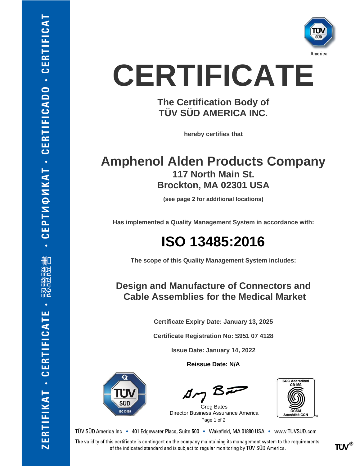

# **CERTIFICATE**

**The Certification Body of TÜV SÜD AMERICA INC.**

**hereby certifies that**

### **Amphenol Alden Products Company 117 North Main St. Brockton, MA 02301 USA**

**(see page 2 for additional locations)**

**Has implemented a Quality Management System in accordance with:**

### **ISO 13485:2016**

**The scope of this Quality Management System includes:**

### **Design and Manufacture of Connectors and Cable Assemblies for the Medical Market**

**Certificate Expiry Date: January 13, 2025**

**Certificate Registration No: S951 07 4128**

**Issue Date: January 14, 2022**

**Reissue Date: N/A**



BF

Page 1 of 2 Greg Bates Director Business Assurance America



TÜV SÜD America Inc · 401 Edgewater Place, Suite 500 · Wakefield, MA 01880 USA · www.TUVSUD.com

The validity of this certificate is contingent on the company maintaining its management system to the requirements of the indicated standard and is subject to regular monitoring by TÜV SÜD America.